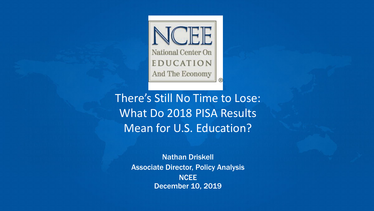

There's Still No Time to Lose: What Do 2018 PISA Results Mean for U.S. Education?

> Nathan Driskell Associate Director, Policy Analysis **NCEE** December 10, 2019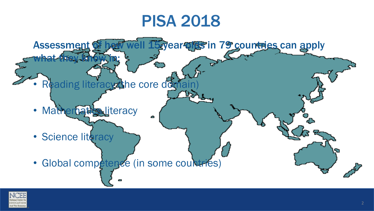## PISA 2018



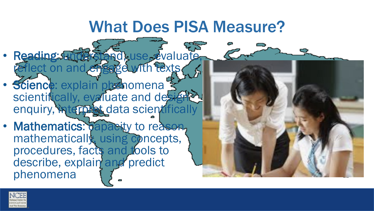### What Does PISA Measure?

- Reading: understand, use, evaluate, eflect on and engage with texts.
- Science: explain phenomena scientifically, evaluate and designed enquiry, interpret data scientifically
- Mathematics: capacity to reason, mathematically, using concepts, procedures, facts and tools to describe, explain and predict phenomena



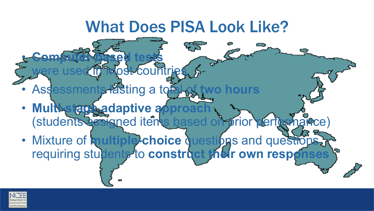## What Does PISA Look Like?

**Assessments lasting a total** 

st countrie

• **Computer-based tests** 

- **Multi-stage adaptive approximate** (students assigned items based on prior performance)
- Mixture of **multiple-choice** questions and questions requiring students to construct their own respo

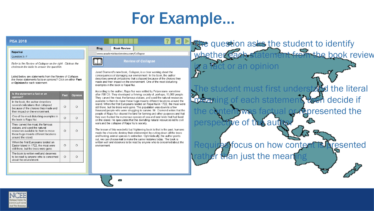## For Example…

2

#### **PISA 2018**

#### **Rapa Nui**

Question 3/7

Refer to the Review of Collapse on the right. Click on the choices in the table to answer the question.

Listed below are statements from the Review of Collapse. Are these statements facts or opinions? Click on either Fact or Opinion for each statement.

| Is the statement a fact or an<br>opinion?                                                                                                                               | Fact     | Opinion |
|-------------------------------------------------------------------------------------------------------------------------------------------------------------------------|----------|---------|
| In the book, the author describes<br>several civilizations that collapsed<br>because of the choices they made and<br>their impact on the environment.                   | $\cap$   | ∩       |
| One of the most disturbing examples in<br>the book is Rapa Nui.                                                                                                         | $\Omega$ | ∩       |
| They carved the moai, the famous<br>statues, and used the natural<br>resources available to them to move<br>these huge moai to different locations<br>around the island | $\Omega$ | ∩       |
| When the first Europeans landed on<br>Easter Island in 1722, the moai were<br>still there, but the trees were gone.                                                     | ∩        |         |
| The book is written well and deserves<br>to be read by anyone who is concerned<br>about the environment.                                                                | $\cap$   |         |

#### **Book Review Blog**

www.academicbookreview.com/Collapse

**September** 



Jared Diamond's new book, Collapse, is a clear warning about the consequences of damaging our environment. In the book, the author describes several civilizations that collapsed because of the choices they made and their impact on the environment. One of the most disturbing examples in the book is Rapa Nui.

According to the author, Rapa Nui was settled by Polynesians sometime after 700 CE. They developed a thriving society of, perhaps, 15,000 people. They carved the moai, the famous statues, and used the natural resources available to them to move these huge moai to different locations around the island. When the first Europeans landed on Rapa Nui in 1722, the moai were still there, but the trees were gone. The population was down to a few thousand people who were struggling to survive. Mr. Diamond writes that the people of Rapa Nui cleared the land for farming and other purposes and that they over-hunted the numerous species of sea and land birds that had lived on the island. He speculates that the dwindling natural resources led to civil wars and the collapse of Rapa Nui's society.

The lesson of this wonderful but frightening book is that in the past, humans made the choice to destroy their environment by cutting down all the trees and hunting animal species to extinction. Optimistically, the author points out, we can choose not to make the same mistakes today. The book is written well and deserves to be read by anyone who is concerned about the environment

The question asks the student to identify whether each statement from the book review t or an opinion The student must first understand the literal of each statemen**t, then decide if** tepresented the perspective of the au ines focus on how content is presented than just the mean

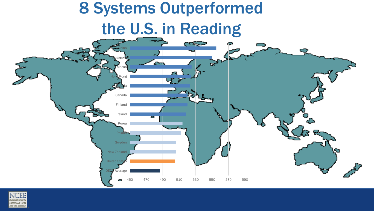

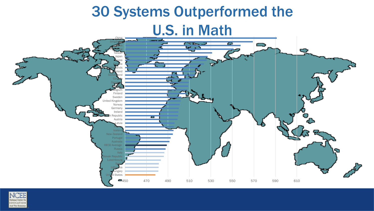

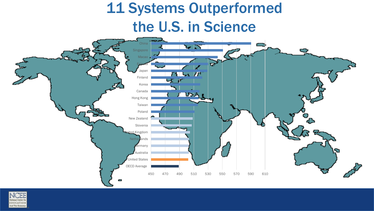#### 11 Systems Outperformed the U.S. in Science **China VIN** Singapore Macao Estonia Japan  $\mathbf{F}$ Finland Korea Canada  $\mathbf{U}\mathbf{A}$  , Hong Kong Taiwan Poland New Zealand Slovenia ited Kingdom **Netherlands** lermany Australia United States OECD Average 450 470 490 510 530 550 570 590 610

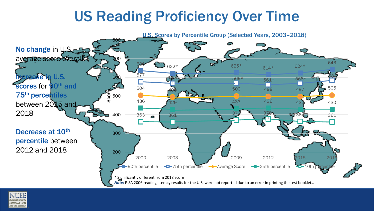#### US Reading Proficiency Over Time



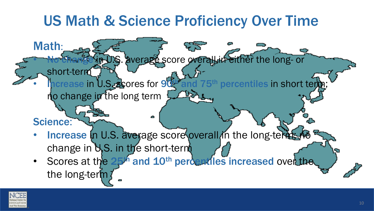#### US Math & Science Proficiency Over Time

average score overall in either the long- or

short-term **h** prease in U.S. scores for 90<sup>th</sup> and 75<sup>th</sup> percentiles in short term no change in the long term

Increase In U.S. average score overall in the long-terms. change in  $US$ . in the short-term

Δ

• Scores at the 25<sup>th</sup> and 10<sup>th</sup> percentiles increased over the the long-term



Math:

Science: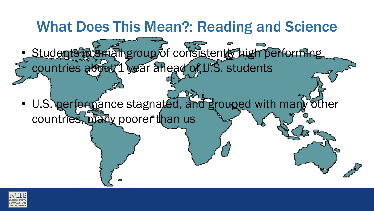

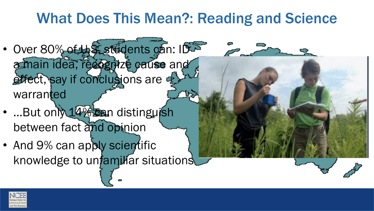#### What Does This Mean?: Reading and Science

- Over 80% of 45 students can: IDS a main idea, recognize cause and effect, say if conclusions are  $\frac{1}{2}$ warranted
- …But only 14% can distinguish between fact and opinion
- And 9% can apply scientific knowledge to unfamiliar situations

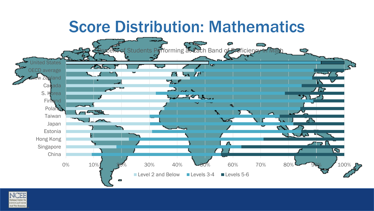### Score Distribution: Mathematics



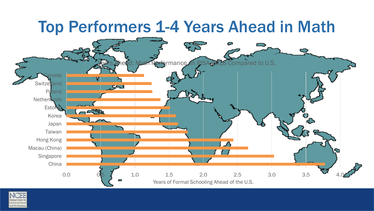#### **Top Performers 1-4 Years Ahead in Math** nance on PISA 2018 Compared to U.S. anada **Switzerland** 543 **Poland Netherlands** Estonia Korea Japan Taiwan Hong Kong Macau (China) Singapore China 0.0 0.5 1.0 1.5 2.0 2.5 3.0 3.5 4.0 Years of Formal Schooling Ahead of the U.S.

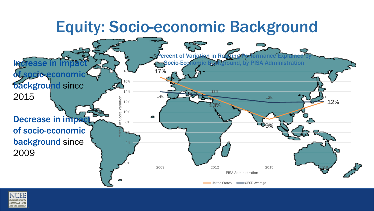### Equity: Socio-economic Background



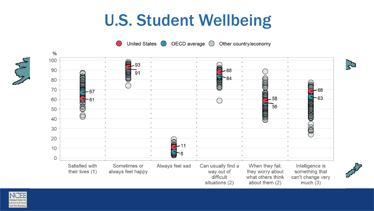# U.S. Student Wellbeing

OECD average **United States** Other country/economy







 $\sum$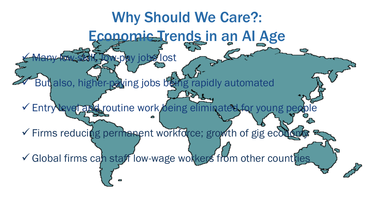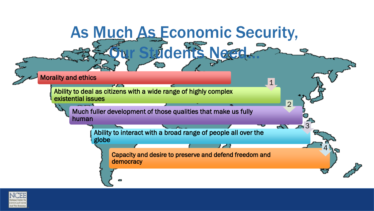

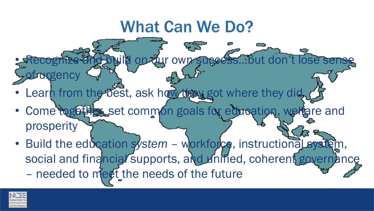## What Can We Do?

ĆŽ

• Learn from the best, ask how they got where they did,

**Ruild on our own success** 

- Come together, set common goals for education, welfare and prosperity
- Build the education system workforce, instructional system, social and financial supports, and unified, coherent governance – needed to meet the needs of the future



of urgency